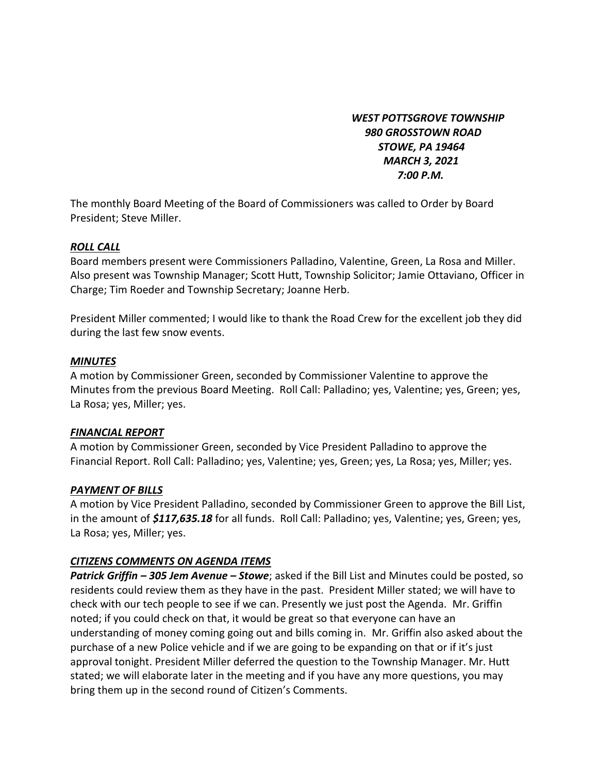*WEST POTTSGROVE TOWNSHIP 980 GROSSTOWN ROAD STOWE, PA 19464 MARCH 3, 2021 7:00 P.M.* 

The monthly Board Meeting of the Board of Commissioners was called to Order by Board President; Steve Miller.

#### *ROLL CALL*

Board members present were Commissioners Palladino, Valentine, Green, La Rosa and Miller. Also present was Township Manager; Scott Hutt, Township Solicitor; Jamie Ottaviano, Officer in Charge; Tim Roeder and Township Secretary; Joanne Herb.

President Miller commented; I would like to thank the Road Crew for the excellent job they did during the last few snow events.

#### *MINUTES*

A motion by Commissioner Green, seconded by Commissioner Valentine to approve the Minutes from the previous Board Meeting. Roll Call: Palladino; yes, Valentine; yes, Green; yes, La Rosa; yes, Miller; yes.

#### *FINANCIAL REPORT*

A motion by Commissioner Green, seconded by Vice President Palladino to approve the Financial Report. Roll Call: Palladino; yes, Valentine; yes, Green; yes, La Rosa; yes, Miller; yes.

#### *PAYMENT OF BILLS*

A motion by Vice President Palladino, seconded by Commissioner Green to approve the Bill List, in the amount of *\$117,635.18* for all funds. Roll Call: Palladino; yes, Valentine; yes, Green; yes, La Rosa; yes, Miller; yes.

#### *CITIZENS COMMENTS ON AGENDA ITEMS*

*Patrick Griffin – 305 Jem Avenue – Stowe*; asked if the Bill List and Minutes could be posted, so residents could review them as they have in the past. President Miller stated; we will have to check with our tech people to see if we can. Presently we just post the Agenda. Mr. Griffin noted; if you could check on that, it would be great so that everyone can have an understanding of money coming going out and bills coming in. Mr. Griffin also asked about the purchase of a new Police vehicle and if we are going to be expanding on that or if it's just approval tonight. President Miller deferred the question to the Township Manager. Mr. Hutt stated; we will elaborate later in the meeting and if you have any more questions, you may bring them up in the second round of Citizen's Comments.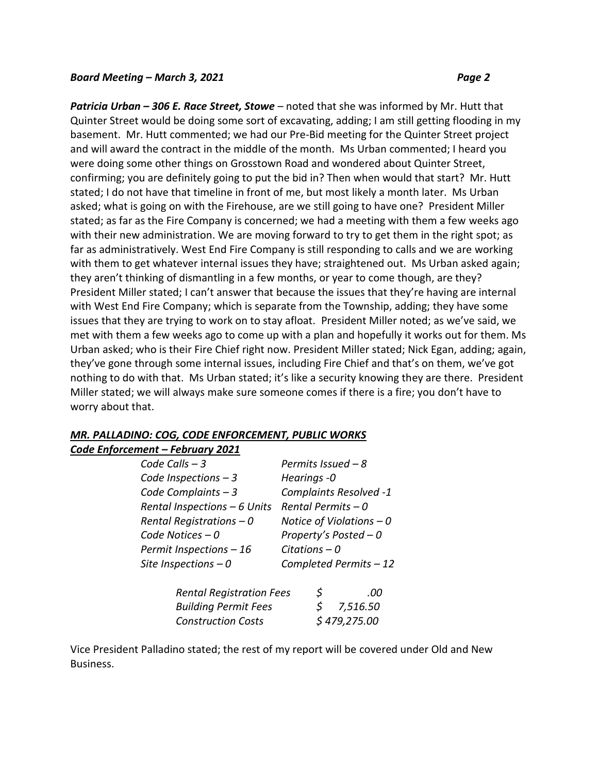*Patricia Urban – 306 E. Race Street, Stowe* – noted that she was informed by Mr. Hutt that Quinter Street would be doing some sort of excavating, adding; I am still getting flooding in my basement. Mr. Hutt commented; we had our Pre-Bid meeting for the Quinter Street project and will award the contract in the middle of the month. Ms Urban commented; I heard you were doing some other things on Grosstown Road and wondered about Quinter Street, confirming; you are definitely going to put the bid in? Then when would that start? Mr. Hutt stated; I do not have that timeline in front of me, but most likely a month later. Ms Urban asked; what is going on with the Firehouse, are we still going to have one? President Miller stated; as far as the Fire Company is concerned; we had a meeting with them a few weeks ago with their new administration. We are moving forward to try to get them in the right spot; as far as administratively. West End Fire Company is still responding to calls and we are working with them to get whatever internal issues they have; straightened out. Ms Urban asked again; they aren't thinking of dismantling in a few months, or year to come though, are they? President Miller stated; I can't answer that because the issues that they're having are internal with West End Fire Company; which is separate from the Township, adding; they have some issues that they are trying to work on to stay afloat. President Miller noted; as we've said, we met with them a few weeks ago to come up with a plan and hopefully it works out for them. Ms Urban asked; who is their Fire Chief right now. President Miller stated; Nick Egan, adding; again, they've gone through some internal issues, including Fire Chief and that's on them, we've got nothing to do with that. Ms Urban stated; it's like a security knowing they are there. President Miller stated; we will always make sure someone comes if there is a fire; you don't have to worry about that.

#### *MR. PALLADINO: COG, CODE ENFORCEMENT, PUBLIC WORKS*

*Code Enforcement – February 2021*

| Code Calls $-3$              | Permits Issued $-8$       |
|------------------------------|---------------------------|
| Code Inspections $-3$        | Hearings -0               |
| Code Complaints $-3$         | Complaints Resolved -1    |
| Rental Inspections - 6 Units | Rental Permits $-0$       |
| Rental Registrations $-0$    | Notice of Violations $-0$ |
| Code Notices $-0$            | Property's Posted $-0$    |
| Permit Inspections $-16$     | Citations $-0$            |
| Site Inspections $-0$        | Completed Permits - 12    |
|                              |                           |

| <b>Rental Registration Fees</b> | \$           | .00          |
|---------------------------------|--------------|--------------|
| <b>Building Permit Fees</b>     |              | $5$ 7,516.50 |
| <b>Construction Costs</b>       | \$479,275.00 |              |

Vice President Palladino stated; the rest of my report will be covered under Old and New Business.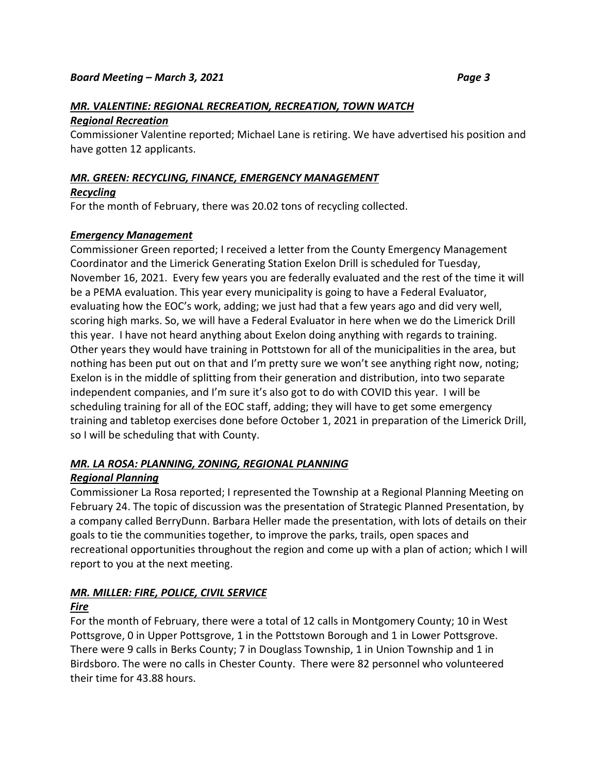# *MR. VALENTINE: REGIONAL RECREATION, RECREATION, TOWN WATCH*

#### *Regional Recreation*

Commissioner Valentine reported; Michael Lane is retiring. We have advertised his position and have gotten 12 applicants.

#### *MR. GREEN: RECYCLING, FINANCE, EMERGENCY MANAGEMENT*

#### *Recycling*

For the month of February, there was 20.02 tons of recycling collected.

#### *Emergency Management*

Commissioner Green reported; I received a letter from the County Emergency Management Coordinator and the Limerick Generating Station Exelon Drill is scheduled for Tuesday, November 16, 2021. Every few years you are federally evaluated and the rest of the time it will be a PEMA evaluation. This year every municipality is going to have a Federal Evaluator, evaluating how the EOC's work, adding; we just had that a few years ago and did very well, scoring high marks. So, we will have a Federal Evaluator in here when we do the Limerick Drill this year. I have not heard anything about Exelon doing anything with regards to training. Other years they would have training in Pottstown for all of the municipalities in the area, but nothing has been put out on that and I'm pretty sure we won't see anything right now, noting; Exelon is in the middle of splitting from their generation and distribution, into two separate independent companies, and I'm sure it's also got to do with COVID this year. I will be scheduling training for all of the EOC staff, adding; they will have to get some emergency training and tabletop exercises done before October 1, 2021 in preparation of the Limerick Drill, so I will be scheduling that with County.

## *MR. LA ROSA: PLANNING, ZONING, REGIONAL PLANNING*

#### *Regional Planning*

Commissioner La Rosa reported; I represented the Township at a Regional Planning Meeting on February 24. The topic of discussion was the presentation of Strategic Planned Presentation, by a company called BerryDunn. Barbara Heller made the presentation, with lots of details on their goals to tie the communities together, to improve the parks, trails, open spaces and recreational opportunities throughout the region and come up with a plan of action; which I will report to you at the next meeting.

### *MR. MILLER: FIRE, POLICE, CIVIL SERVICE*

#### *Fire*

For the month of February, there were a total of 12 calls in Montgomery County; 10 in West Pottsgrove, 0 in Upper Pottsgrove, 1 in the Pottstown Borough and 1 in Lower Pottsgrove. There were 9 calls in Berks County; 7 in Douglass Township, 1 in Union Township and 1 in Birdsboro. The were no calls in Chester County. There were 82 personnel who volunteered their time for 43.88 hours.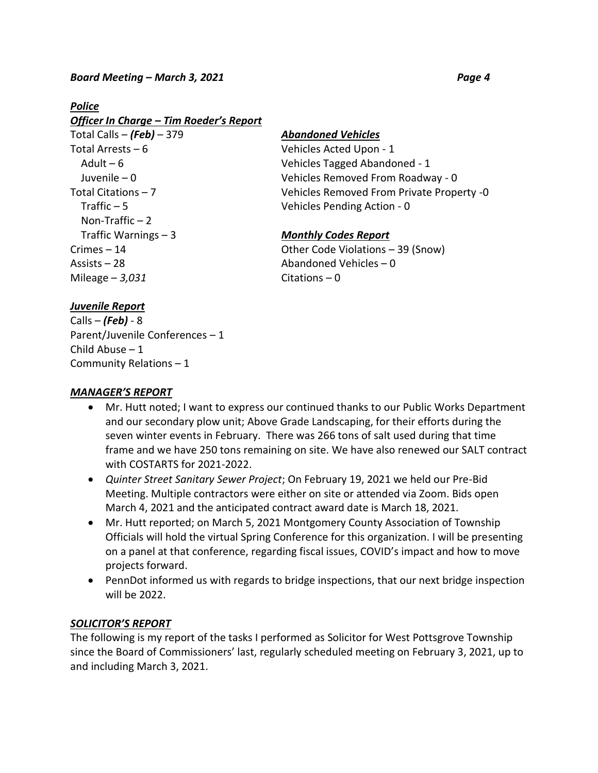#### *Police*

| Officer In Charge – Tim Roeder's Report |
|-----------------------------------------|
| Total Calls $-$ (Feb) $-379$            |
| Total Arrests – 6                       |
| Adult $-6$                              |
| Juvenile – 0                            |
| Total Citations – 7                     |
| Traffic $-5$                            |
| Non-Traffic $-2$                        |
| Traffic Warnings $-3$                   |
| Crimes – 14                             |
| Assists – 28                            |
| Mileage $-3,031$                        |

#### Total Calls – *(Feb)* – 379 *Abandoned Vehicles*

Vehicles Acted Upon - 1 Vehicles Tagged Abandoned - 1 Vehicles Removed From Roadway - 0 Vehicles Removed From Private Property -0 Vehicles Pending Action - 0

#### **Monthly Codes Report**

Other Code Violations – 39 (Snow) Abandoned Vehicles  $-0$ Citations – 0

#### *Juvenile Report*

Calls – *(Feb)* - 8 Parent/Juvenile Conferences – 1 Child Abuse – 1 Community Relations – 1

#### *MANAGER'S REPORT*

- Mr. Hutt noted; I want to express our continued thanks to our Public Works Department and our secondary plow unit; Above Grade Landscaping, for their efforts during the seven winter events in February. There was 266 tons of salt used during that time frame and we have 250 tons remaining on site. We have also renewed our SALT contract with COSTARTS for 2021-2022.
- *Quinter Street Sanitary Sewer Project*; On February 19, 2021 we held our Pre-Bid Meeting. Multiple contractors were either on site or attended via Zoom. Bids open March 4, 2021 and the anticipated contract award date is March 18, 2021.
- Mr. Hutt reported; on March 5, 2021 Montgomery County Association of Township Officials will hold the virtual Spring Conference for this organization. I will be presenting on a panel at that conference, regarding fiscal issues, COVID's impact and how to move projects forward.
- PennDot informed us with regards to bridge inspections, that our next bridge inspection will be 2022.

#### *SOLICITOR'S REPORT*

The following is my report of the tasks I performed as Solicitor for West Pottsgrove Township since the Board of Commissioners' last, regularly scheduled meeting on February 3, 2021, up to and including March 3, 2021.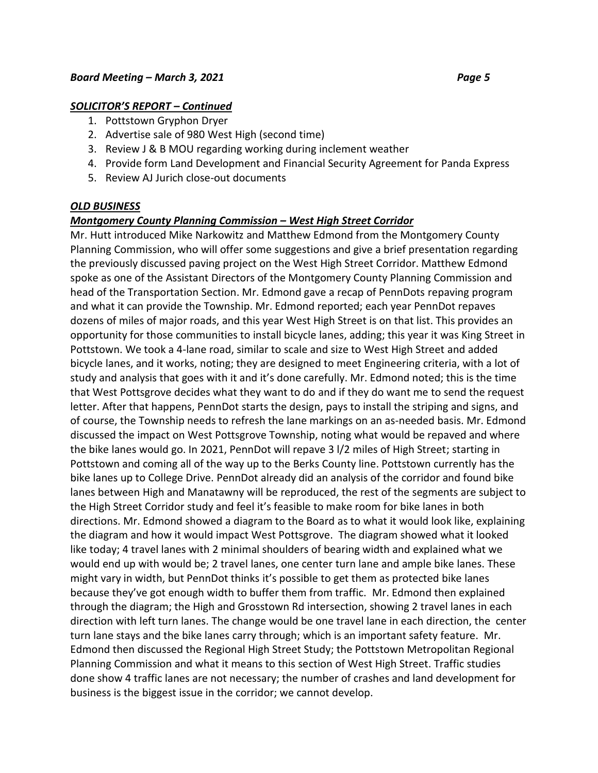#### *SOLICITOR'S REPORT – Continued*

- 1. Pottstown Gryphon Dryer
- 2. Advertise sale of 980 West High (second time)
- 3. Review J & B MOU regarding working during inclement weather
- 4. Provide form Land Development and Financial Security Agreement for Panda Express
- 5. Review AJ Jurich close-out documents

#### *OLD BUSINESS*

#### *Montgomery County Planning Commission – West High Street Corridor*

Mr. Hutt introduced Mike Narkowitz and Matthew Edmond from the Montgomery County Planning Commission, who will offer some suggestions and give a brief presentation regarding the previously discussed paving project on the West High Street Corridor. Matthew Edmond spoke as one of the Assistant Directors of the Montgomery County Planning Commission and head of the Transportation Section. Mr. Edmond gave a recap of PennDots repaving program and what it can provide the Township. Mr. Edmond reported; each year PennDot repaves dozens of miles of major roads, and this year West High Street is on that list. This provides an opportunity for those communities to install bicycle lanes, adding; this year it was King Street in Pottstown. We took a 4-lane road, similar to scale and size to West High Street and added bicycle lanes, and it works, noting; they are designed to meet Engineering criteria, with a lot of study and analysis that goes with it and it's done carefully. Mr. Edmond noted; this is the time that West Pottsgrove decides what they want to do and if they do want me to send the request letter. After that happens, PennDot starts the design, pays to install the striping and signs, and of course, the Township needs to refresh the lane markings on an as-needed basis. Mr. Edmond discussed the impact on West Pottsgrove Township, noting what would be repaved and where the bike lanes would go. In 2021, PennDot will repave 3 l/2 miles of High Street; starting in Pottstown and coming all of the way up to the Berks County line. Pottstown currently has the bike lanes up to College Drive. PennDot already did an analysis of the corridor and found bike lanes between High and Manatawny will be reproduced, the rest of the segments are subject to the High Street Corridor study and feel it's feasible to make room for bike lanes in both directions. Mr. Edmond showed a diagram to the Board as to what it would look like, explaining the diagram and how it would impact West Pottsgrove. The diagram showed what it looked like today; 4 travel lanes with 2 minimal shoulders of bearing width and explained what we would end up with would be; 2 travel lanes, one center turn lane and ample bike lanes. These might vary in width, but PennDot thinks it's possible to get them as protected bike lanes because they've got enough width to buffer them from traffic. Mr. Edmond then explained through the diagram; the High and Grosstown Rd intersection, showing 2 travel lanes in each direction with left turn lanes. The change would be one travel lane in each direction, the center turn lane stays and the bike lanes carry through; which is an important safety feature. Mr. Edmond then discussed the Regional High Street Study; the Pottstown Metropolitan Regional Planning Commission and what it means to this section of West High Street. Traffic studies done show 4 traffic lanes are not necessary; the number of crashes and land development for business is the biggest issue in the corridor; we cannot develop.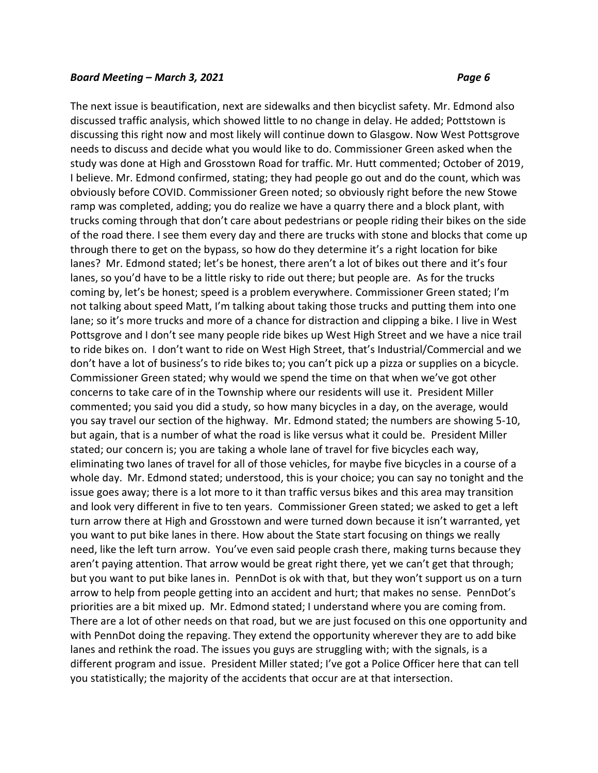The next issue is beautification, next are sidewalks and then bicyclist safety. Mr. Edmond also discussed traffic analysis, which showed little to no change in delay. He added; Pottstown is discussing this right now and most likely will continue down to Glasgow. Now West Pottsgrove needs to discuss and decide what you would like to do. Commissioner Green asked when the study was done at High and Grosstown Road for traffic. Mr. Hutt commented; October of 2019, I believe. Mr. Edmond confirmed, stating; they had people go out and do the count, which was obviously before COVID. Commissioner Green noted; so obviously right before the new Stowe ramp was completed, adding; you do realize we have a quarry there and a block plant, with trucks coming through that don't care about pedestrians or people riding their bikes on the side of the road there. I see them every day and there are trucks with stone and blocks that come up through there to get on the bypass, so how do they determine it's a right location for bike lanes? Mr. Edmond stated; let's be honest, there aren't a lot of bikes out there and it's four lanes, so you'd have to be a little risky to ride out there; but people are. As for the trucks coming by, let's be honest; speed is a problem everywhere. Commissioner Green stated; I'm not talking about speed Matt, I'm talking about taking those trucks and putting them into one lane; so it's more trucks and more of a chance for distraction and clipping a bike. I live in West Pottsgrove and I don't see many people ride bikes up West High Street and we have a nice trail to ride bikes on. I don't want to ride on West High Street, that's Industrial/Commercial and we don't have a lot of business's to ride bikes to; you can't pick up a pizza or supplies on a bicycle. Commissioner Green stated; why would we spend the time on that when we've got other concerns to take care of in the Township where our residents will use it. President Miller commented; you said you did a study, so how many bicycles in a day, on the average, would you say travel our section of the highway. Mr. Edmond stated; the numbers are showing 5-10, but again, that is a number of what the road is like versus what it could be. President Miller stated; our concern is; you are taking a whole lane of travel for five bicycles each way, eliminating two lanes of travel for all of those vehicles, for maybe five bicycles in a course of a whole day. Mr. Edmond stated; understood, this is your choice; you can say no tonight and the issue goes away; there is a lot more to it than traffic versus bikes and this area may transition and look very different in five to ten years. Commissioner Green stated; we asked to get a left turn arrow there at High and Grosstown and were turned down because it isn't warranted, yet you want to put bike lanes in there. How about the State start focusing on things we really need, like the left turn arrow. You've even said people crash there, making turns because they aren't paying attention. That arrow would be great right there, yet we can't get that through; but you want to put bike lanes in. PennDot is ok with that, but they won't support us on a turn arrow to help from people getting into an accident and hurt; that makes no sense. PennDot's priorities are a bit mixed up. Mr. Edmond stated; I understand where you are coming from. There are a lot of other needs on that road, but we are just focused on this one opportunity and with PennDot doing the repaving. They extend the opportunity wherever they are to add bike lanes and rethink the road. The issues you guys are struggling with; with the signals, is a different program and issue. President Miller stated; I've got a Police Officer here that can tell you statistically; the majority of the accidents that occur are at that intersection.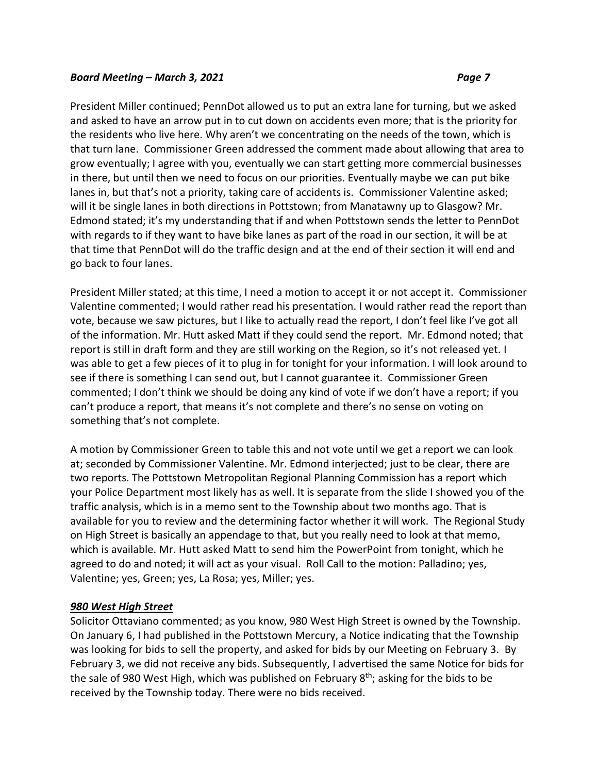President Miller continued; PennDot allowed us to put an extra lane for turning, but we asked and asked to have an arrow put in to cut down on accidents even more; that is the priority for the residents who live here. Why aren't we concentrating on the needs of the town, which is that turn lane. Commissioner Green addressed the comment made about allowing that area to grow eventually; I agree with you, eventually we can start getting more commercial businesses in there, but until then we need to focus on our priorities. Eventually maybe we can put bike lanes in, but that's not a priority, taking care of accidents is. Commissioner Valentine asked; will it be single lanes in both directions in Pottstown; from Manatawny up to Glasgow? Mr. Edmond stated; it's my understanding that if and when Pottstown sends the letter to PennDot with regards to if they want to have bike lanes as part of the road in our section, it will be at that time that PennDot will do the traffic design and at the end of their section it will end and go back to four lanes.

President Miller stated; at this time, I need a motion to accept it or not accept it. Commissioner Valentine commented; I would rather read his presentation. I would rather read the report than vote, because we saw pictures, but I like to actually read the report, I don't feel like I've got all of the information. Mr. Hutt asked Matt if they could send the report. Mr. Edmond noted; that report is still in draft form and they are still working on the Region, so it's not released yet. I was able to get a few pieces of it to plug in for tonight for your information. I will look around to see if there is something I can send out, but I cannot guarantee it. Commissioner Green commented; I don't think we should be doing any kind of vote if we don't have a report; if you can't produce a report, that means it's not complete and there's no sense on voting on something that's not complete.

A motion by Commissioner Green to table this and not vote until we get a report we can look at; seconded by Commissioner Valentine. Mr. Edmond interjected; just to be clear, there are two reports. The Pottstown Metropolitan Regional Planning Commission has a report which your Police Department most likely has as well. It is separate from the slide I showed you of the traffic analysis, which is in a memo sent to the Township about two months ago. That is available for you to review and the determining factor whether it will work. The Regional Study on High Street is basically an appendage to that, but you really need to look at that memo, which is available. Mr. Hutt asked Matt to send him the PowerPoint from tonight, which he agreed to do and noted; it will act as your visual. Roll Call to the motion: Palladino; yes, Valentine; yes, Green; yes, La Rosa; yes, Miller; yes.

#### *980 West High Street*

Solicitor Ottaviano commented; as you know, 980 West High Street is owned by the Township. On January 6, I had published in the Pottstown Mercury, a Notice indicating that the Township was looking for bids to sell the property, and asked for bids by our Meeting on February 3. By February 3, we did not receive any bids. Subsequently, I advertised the same Notice for bids for the sale of 980 West High, which was published on February 8<sup>th</sup>; asking for the bids to be received by the Township today. There were no bids received.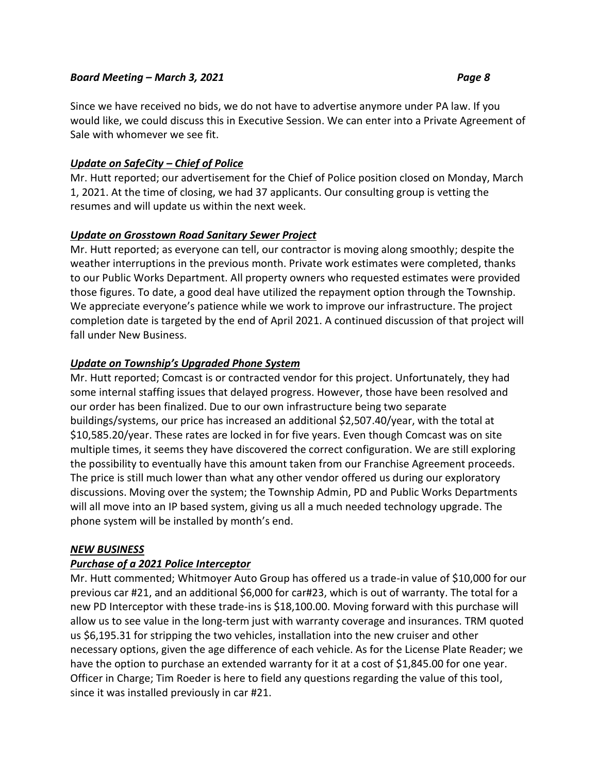### Since we have received no bids, we do not have to advertise anymore under PA law. If you would like, we could discuss this in Executive Session. We can enter into a Private Agreement of Sale with whomever we see fit.

### *Update on SafeCity – Chief of Police*

Mr. Hutt reported; our advertisement for the Chief of Police position closed on Monday, March 1, 2021. At the time of closing, we had 37 applicants. Our consulting group is vetting the resumes and will update us within the next week.

#### *Update on Grosstown Road Sanitary Sewer Project*

Mr. Hutt reported; as everyone can tell, our contractor is moving along smoothly; despite the weather interruptions in the previous month. Private work estimates were completed, thanks to our Public Works Department. All property owners who requested estimates were provided those figures. To date, a good deal have utilized the repayment option through the Township. We appreciate everyone's patience while we work to improve our infrastructure. The project completion date is targeted by the end of April 2021. A continued discussion of that project will fall under New Business.

#### *Update on Township's Upgraded Phone System*

Mr. Hutt reported; Comcast is or contracted vendor for this project. Unfortunately, they had some internal staffing issues that delayed progress. However, those have been resolved and our order has been finalized. Due to our own infrastructure being two separate buildings/systems, our price has increased an additional \$2,507.40/year, with the total at \$10,585.20/year. These rates are locked in for five years. Even though Comcast was on site multiple times, it seems they have discovered the correct configuration. We are still exploring the possibility to eventually have this amount taken from our Franchise Agreement proceeds. The price is still much lower than what any other vendor offered us during our exploratory discussions. Moving over the system; the Township Admin, PD and Public Works Departments will all move into an IP based system, giving us all a much needed technology upgrade. The phone system will be installed by month's end.

#### *NEW BUSINESS*

#### *Purchase of a 2021 Police Interceptor*

Mr. Hutt commented; Whitmoyer Auto Group has offered us a trade-in value of \$10,000 for our previous car #21, and an additional \$6,000 for car#23, which is out of warranty. The total for a new PD Interceptor with these trade-ins is \$18,100.00. Moving forward with this purchase will allow us to see value in the long-term just with warranty coverage and insurances. TRM quoted us \$6,195.31 for stripping the two vehicles, installation into the new cruiser and other necessary options, given the age difference of each vehicle. As for the License Plate Reader; we have the option to purchase an extended warranty for it at a cost of \$1,845.00 for one year. Officer in Charge; Tim Roeder is here to field any questions regarding the value of this tool, since it was installed previously in car #21.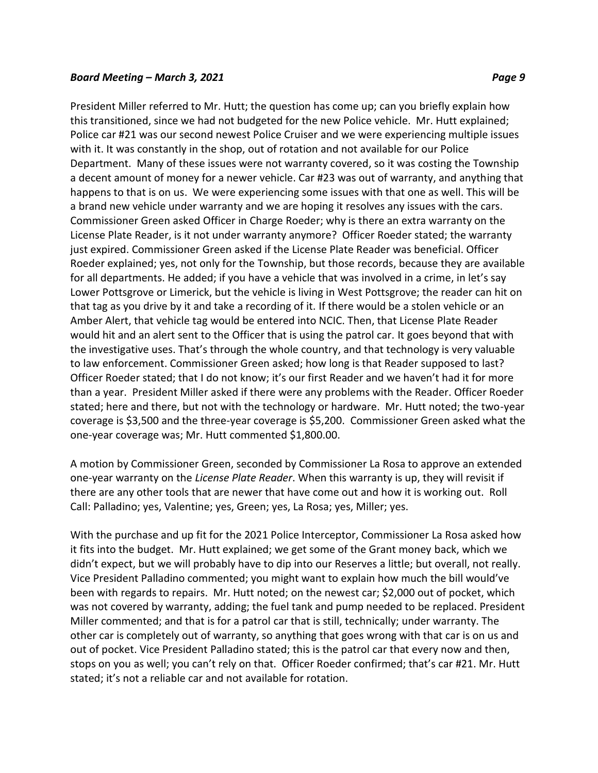President Miller referred to Mr. Hutt; the question has come up; can you briefly explain how this transitioned, since we had not budgeted for the new Police vehicle. Mr. Hutt explained; Police car #21 was our second newest Police Cruiser and we were experiencing multiple issues with it. It was constantly in the shop, out of rotation and not available for our Police Department. Many of these issues were not warranty covered, so it was costing the Township a decent amount of money for a newer vehicle. Car #23 was out of warranty, and anything that happens to that is on us. We were experiencing some issues with that one as well. This will be a brand new vehicle under warranty and we are hoping it resolves any issues with the cars. Commissioner Green asked Officer in Charge Roeder; why is there an extra warranty on the License Plate Reader, is it not under warranty anymore? Officer Roeder stated; the warranty just expired. Commissioner Green asked if the License Plate Reader was beneficial. Officer Roeder explained; yes, not only for the Township, but those records, because they are available for all departments. He added; if you have a vehicle that was involved in a crime, in let's say Lower Pottsgrove or Limerick, but the vehicle is living in West Pottsgrove; the reader can hit on that tag as you drive by it and take a recording of it. If there would be a stolen vehicle or an Amber Alert, that vehicle tag would be entered into NCIC. Then, that License Plate Reader would hit and an alert sent to the Officer that is using the patrol car. It goes beyond that with the investigative uses. That's through the whole country, and that technology is very valuable to law enforcement. Commissioner Green asked; how long is that Reader supposed to last? Officer Roeder stated; that I do not know; it's our first Reader and we haven't had it for more than a year. President Miller asked if there were any problems with the Reader. Officer Roeder stated; here and there, but not with the technology or hardware. Mr. Hutt noted; the two-year coverage is \$3,500 and the three-year coverage is \$5,200. Commissioner Green asked what the one-year coverage was; Mr. Hutt commented \$1,800.00.

A motion by Commissioner Green, seconded by Commissioner La Rosa to approve an extended one-year warranty on the *License Plate Reader*. When this warranty is up, they will revisit if there are any other tools that are newer that have come out and how it is working out. Roll Call: Palladino; yes, Valentine; yes, Green; yes, La Rosa; yes, Miller; yes.

With the purchase and up fit for the 2021 Police Interceptor, Commissioner La Rosa asked how it fits into the budget. Mr. Hutt explained; we get some of the Grant money back, which we didn't expect, but we will probably have to dip into our Reserves a little; but overall, not really. Vice President Palladino commented; you might want to explain how much the bill would've been with regards to repairs. Mr. Hutt noted; on the newest car; \$2,000 out of pocket, which was not covered by warranty, adding; the fuel tank and pump needed to be replaced. President Miller commented; and that is for a patrol car that is still, technically; under warranty. The other car is completely out of warranty, so anything that goes wrong with that car is on us and out of pocket. Vice President Palladino stated; this is the patrol car that every now and then, stops on you as well; you can't rely on that. Officer Roeder confirmed; that's car #21. Mr. Hutt stated; it's not a reliable car and not available for rotation.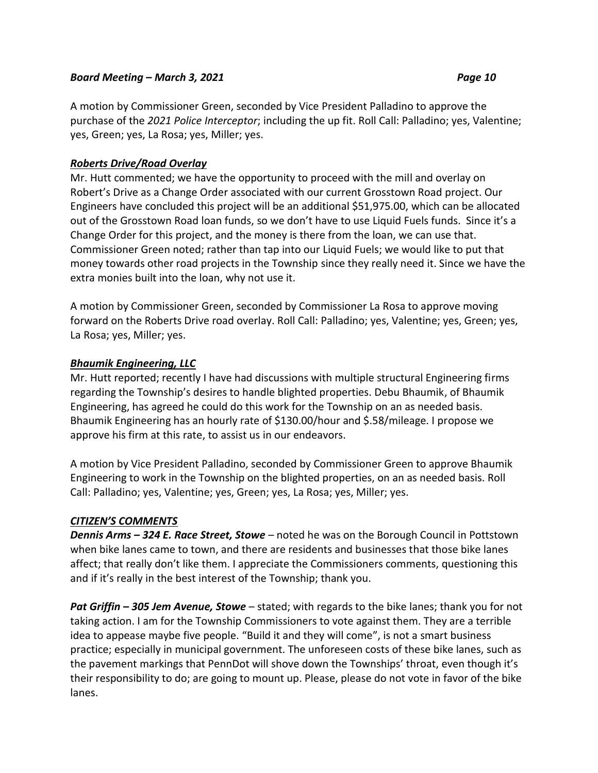A motion by Commissioner Green, seconded by Vice President Palladino to approve the purchase of the *2021 Police Interceptor*; including the up fit. Roll Call: Palladino; yes, Valentine; yes, Green; yes, La Rosa; yes, Miller; yes.

### *Roberts Drive/Road Overlay*

Mr. Hutt commented; we have the opportunity to proceed with the mill and overlay on Robert's Drive as a Change Order associated with our current Grosstown Road project. Our Engineers have concluded this project will be an additional \$51,975.00, which can be allocated out of the Grosstown Road loan funds, so we don't have to use Liquid Fuels funds. Since it's a Change Order for this project, and the money is there from the loan, we can use that. Commissioner Green noted; rather than tap into our Liquid Fuels; we would like to put that money towards other road projects in the Township since they really need it. Since we have the extra monies built into the loan, why not use it.

A motion by Commissioner Green, seconded by Commissioner La Rosa to approve moving forward on the Roberts Drive road overlay. Roll Call: Palladino; yes, Valentine; yes, Green; yes, La Rosa; yes, Miller; yes.

#### *Bhaumik Engineering, LLC*

Mr. Hutt reported; recently I have had discussions with multiple structural Engineering firms regarding the Township's desires to handle blighted properties. Debu Bhaumik, of Bhaumik Engineering, has agreed he could do this work for the Township on an as needed basis. Bhaumik Engineering has an hourly rate of \$130.00/hour and \$.58/mileage. I propose we approve his firm at this rate, to assist us in our endeavors.

A motion by Vice President Palladino, seconded by Commissioner Green to approve Bhaumik Engineering to work in the Township on the blighted properties, on an as needed basis. Roll Call: Palladino; yes, Valentine; yes, Green; yes, La Rosa; yes, Miller; yes.

#### *CITIZEN'S COMMENTS*

*Dennis Arms – 324 E. Race Street, Stowe* – noted he was on the Borough Council in Pottstown when bike lanes came to town, and there are residents and businesses that those bike lanes affect; that really don't like them. I appreciate the Commissioners comments, questioning this and if it's really in the best interest of the Township; thank you.

*Pat Griffin – 305 Jem Avenue, Stowe* – stated; with regards to the bike lanes; thank you for not taking action. I am for the Township Commissioners to vote against them. They are a terrible idea to appease maybe five people. "Build it and they will come", is not a smart business practice; especially in municipal government. The unforeseen costs of these bike lanes, such as the pavement markings that PennDot will shove down the Townships' throat, even though it's their responsibility to do; are going to mount up. Please, please do not vote in favor of the bike lanes.